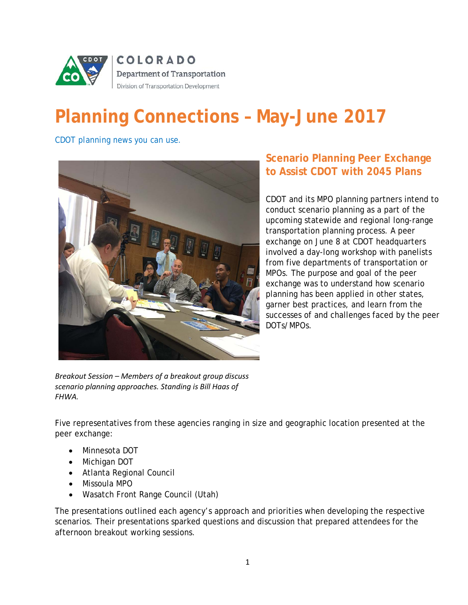

# **Planning Connections – May-June 2017**

*CDOT planning news you can use.*



## **Scenario Planning Peer Exchange to Assist CDOT with 2045 Plans**

CDOT and its MPO planning partners intend to conduct scenario planning as a part of the upcoming statewide and regional long-range transportation planning process. A peer exchange on June 8 at CDOT headquarters involved a day-long workshop with panelists from five departments of transportation or MPOs. The purpose and goal of the peer exchange was to understand how scenario planning has been applied in other states, garner best practices, and learn from the successes of and challenges faced by the peer DOTs/MPOs.

*Breakout Session – Members of a breakout group discuss scenario planning approaches. Standing is Bill Haas of FHWA.*

Five representatives from these agencies ranging in size and geographic location presented at the peer exchange:

- Minnesota DOT
- Michigan DOT
- Atlanta Regional Council
- Missoula MPO
- Wasatch Front Range Council (Utah)

The presentations outlined each agency's approach and priorities when developing the respective scenarios. Their presentations sparked questions and discussion that prepared attendees for the afternoon breakout working sessions.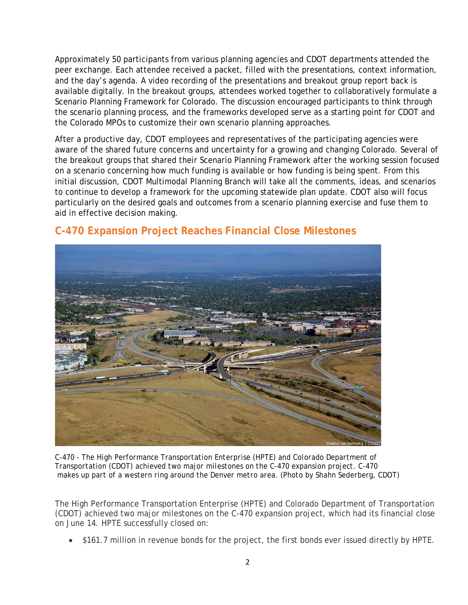Approximately 50 participants from various planning agencies and CDOT departments attended the peer exchange. Each attendee received a packet, filled with the presentations, context information, and the day's agenda. A video recording of the presentations and breakout group report back is available digitally. In the breakout groups, attendees worked together to collaboratively formulate a Scenario Planning Framework for Colorado. The discussion encouraged participants to think through the scenario planning process, and the frameworks developed serve as a starting point for CDOT and the Colorado MPOs to customize their own scenario planning approaches.

After a productive day, CDOT employees and representatives of the participating agencies were aware of the shared future concerns and uncertainty for a growing and changing Colorado. Several of the breakout groups that shared their Scenario Planning Framework after the working session focused on a scenario concerning how much funding is available or how funding is being spent. From this initial discussion, CDOT Multimodal Planning Branch will take all the comments, ideas, and scenarios to continue to develop a framework for the upcoming statewide plan update. CDOT also will focus particularly on the desired goals and outcomes from a scenario planning exercise and fuse them to aid in effective decision making.



### **C-470 Expansion Project Reaches Financial Close Milestones**

*C-470 - The High Performance Transportation Enterprise (HPTE) and Colorado Department of Transportation (CDOT) achieved two major milestones on the C-470 expansion project. C-470 makes up part of a western ring around the Denver metro area. (Photo by Shahn Sederberg, CDOT)*

The High Performance Transportation Enterprise (HPTE) and Colorado Department of Transportation (CDOT) achieved two major milestones on the C-470 expansion project, which had its financial close on June 14. HPTE successfully closed on:

• \$161.7 million in revenue bonds for the project, the first bonds ever issued directly by HPTE.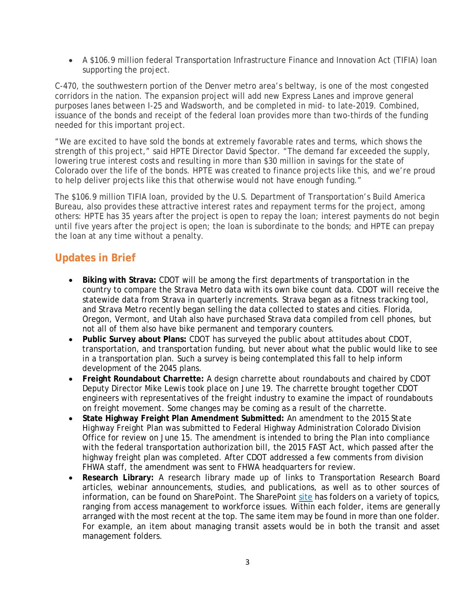• A \$106.9 million federal Transportation Infrastructure Finance and Innovation Act (TIFIA) loan supporting the project.

C-470, the southwestern portion of the Denver metro area's beltway, is one of the most congested corridors in the nation. The expansion project will add new Express Lanes and improve general purposes lanes between I-25 and Wadsworth, and be completed in mid- to late-2019. Combined, issuance of the bonds and receipt of the federal loan provides more than two-thirds of the funding needed for this important project.

"We are excited to have sold the bonds at extremely favorable rates and terms, which shows the strength of this project," said HPTE Director David Spector. "The demand far exceeded the supply, lowering true interest costs and resulting in more than \$30 million in savings for the state of Colorado over the life of the bonds. HPTE was created to finance projects like this, and we're proud to help deliver projects like this that otherwise would not have enough funding."

The \$106.9 million TIFIA loan, provided by the U.S. Department of Transportation's Build America Bureau, also provides these attractive interest rates and repayment terms for the project, among others: HPTE has 35 years after the project is open to repay the loan; interest payments do not begin until five years after the project is open; the loan is subordinate to the bonds; and HPTE can prepay the loan at any time without a penalty.

### **Updates in Brief**

- **Biking with Strava:** CDOT will be among the first departments of transportation in the country to compare the Strava Metro data with its own bike count data. CDOT will receive the statewide data from Strava in quarterly increments. Strava began as a fitness tracking tool, and Strava Metro recently began selling the data collected to states and cities. Florida, Oregon, Vermont, and Utah also have purchased Strava data compiled from cell phones, but not all of them also have bike permanent and temporary counters.
- **Public Survey about Plans:** CDOT has surveyed the public about attitudes about CDOT, transportation, and transportation funding, but never about what the public would like to see in a transportation plan. Such a survey is being contemplated this fall to help inform development of the 2045 plans.
- **Freight Roundabout Charrette:** A design charrette about roundabouts and chaired by CDOT Deputy Director Mike Lewis took place on June 19. The charrette brought together CDOT engineers with representatives of the freight industry to examine the impact of roundabouts on freight movement. Some changes may be coming as a result of the charrette.
- **State Highway Freight Plan Amendment Submitted:** An amendment to the 2015 *State Highway Freight Plan* was submitted to Federal Highway Administration Colorado Division Office for review on June 15. The amendment is intended to bring the Plan into compliance with the federal transportation authorization bill, the 2015 FAST Act, which passed after the highway freight plan was completed. After CDOT addressed a few comments from division FHWA staff, the amendment was sent to FHWA headquarters for review.
- **Research Library:** A research library made up of links to Transportation Research Board articles, webinar announcements, studies, and publications, as well as to other sources of information, can be found on SharePoint. The SharePoint [site](http://connectsp/sites/dtd/mpb/planning/SPU/Forms/AllItems.aspx?RootFolder=%2Fsites%2Fdtd%2Fmpb%2Fplanning%2FSPU%2FResearch%20Library&FolderCTID=0x012000DF3ED5446AB6544085F965A23D41561E&View=%7B5300691D%2DA5F6%2D4B6E%2DB2AE%2D05AE2DAD293A%7D) has folders on a variety of topics, ranging from access management to workforce issues. Within each folder, items are generally arranged with the most recent at the top. The same item may be found in more than one folder. For example, an item about managing transit assets would be in both the transit and asset management folders.